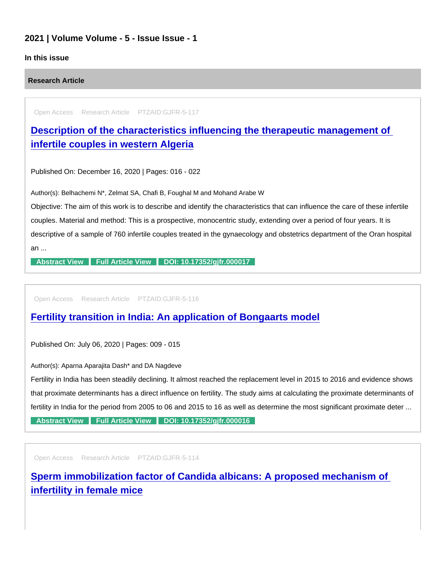## 2021 | Volume Volume - 5 - Issue Issue - 1

## In this issue

Research Article

Open Access Research Article PTZAID:GJFR-5-117

[Description of the characteristics influencing the therapeutic management of](https://www.peertechzpublications.com/articles/description-of-the-characteristics-influencing-the-therapeutic-management-of-infertile-couples-in-western-algeria)  infertile couples in western Algeria

Published On: December 16, 2020 | Pages: 016 - 022

Author(s): Belhachemi N\*, Zelmat SA, Chafi B, Foughal M and Mohand Arabe W

Objective: The aim of this work is to describe and identify the characteristics that can influence the care of these infertile couples. Material and method: This is a prospective, monocentric study, extending over a period of four years. It is descriptive of a sample of 760 infertile couples treated in the gynaecology and obstetrics department of the Oran hospital an ...

[Abstract View](https://www.peertechzpublications.com/abstracts/description-of-the-characteristics-influencing-the-therapeutic-management-of-infertile-couples-in-western-algeria) [Full Article View](https://www.peertechzpublications.com/articles/description-of-the-characteristics-influencing-the-therapeutic-management-of-infertile-couples-in-western-algeria) DOI: 10.17352/gifr.000017

Open Access Research Article PTZAID:GJFR-5-116

[Fertility transition in India: An application of Bongaarts model](https://www.peertechzpublications.com/articles/fertility-transition-in-india-an-application-of-bongaarts-model)

Published On: July 06, 2020 | Pages: 009 - 015

Author(s): Aparna Aparajita Dash\* and DA Nagdeve

Fertility in India has been steadily declining. It almost reached the replacement level in 2015 to 2016 and evidence shows that proximate determinants has a direct influence on fertility. The study aims at calculating the proximate determinants of fertility in India for the period from 2005 to 06 and 2015 to 16 as well as determine the most significant proximate deter ...

[Abstract View](https://www.peertechzpublications.com/abstracts/fertility-transition-in-india-an-application-of-bongaarts-model) [Full Article View](https://www.peertechzpublications.com/articles/fertility-transition-in-india-an-application-of-bongaarts-model) DOI: 10.17352/gifr.000016

Open Access Research Article PTZAID:GJFR-5-114

[Sperm immobilization factor of Candida albicans: A proposed mechanism of](https://www.peertechzpublications.com/articles/sperm-immobilization-factor-of-candida-albicans-a-proposed-mechanism-of-infertility-in-female-mice)  infertility in female mice